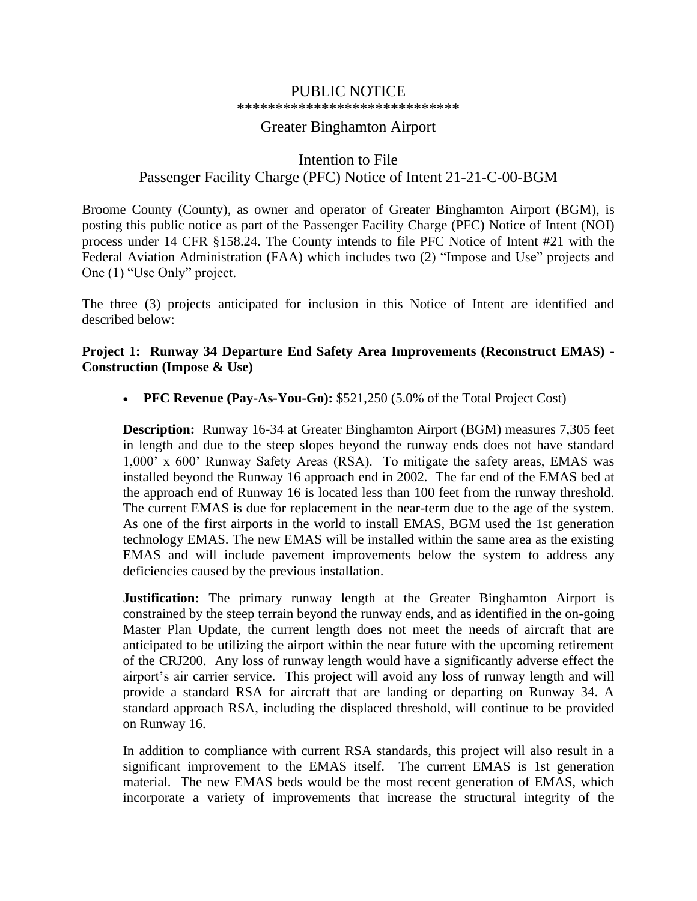# PUBLIC NOTICE

\*\*\*\*\*\*\*\*\*\*\*\*\*\*\*\*\*\*\*\*\*\*\*\*\*\*\*\*\*

#### Greater Binghamton Airport

# Intention to File Passenger Facility Charge (PFC) Notice of Intent 21-21-C-00-BGM

Broome County (County), as owner and operator of Greater Binghamton Airport (BGM), is posting this public notice as part of the Passenger Facility Charge (PFC) Notice of Intent (NOI) process under 14 CFR §158.24. The County intends to file PFC Notice of Intent #21 with the Federal Aviation Administration (FAA) which includes two (2) "Impose and Use" projects and One (1) "Use Only" project.

The three (3) projects anticipated for inclusion in this Notice of Intent are identified and described below:

#### **Project 1: Runway 34 Departure End Safety Area Improvements (Reconstruct EMAS) - Construction (Impose & Use)**

• **PFC Revenue (Pay-As-You-Go):** \$521,250 (5.0% of the Total Project Cost)

**Description:** Runway 16-34 at Greater Binghamton Airport (BGM) measures 7,305 feet in length and due to the steep slopes beyond the runway ends does not have standard 1,000' x 600' Runway Safety Areas (RSA). To mitigate the safety areas, EMAS was installed beyond the Runway 16 approach end in 2002. The far end of the EMAS bed at the approach end of Runway 16 is located less than 100 feet from the runway threshold. The current EMAS is due for replacement in the near-term due to the age of the system. As one of the first airports in the world to install EMAS, BGM used the 1st generation technology EMAS. The new EMAS will be installed within the same area as the existing EMAS and will include pavement improvements below the system to address any deficiencies caused by the previous installation.

**Justification:** The primary runway length at the Greater Binghamton Airport is constrained by the steep terrain beyond the runway ends, and as identified in the on-going Master Plan Update, the current length does not meet the needs of aircraft that are anticipated to be utilizing the airport within the near future with the upcoming retirement of the CRJ200. Any loss of runway length would have a significantly adverse effect the airport's air carrier service. This project will avoid any loss of runway length and will provide a standard RSA for aircraft that are landing or departing on Runway 34. A standard approach RSA, including the displaced threshold, will continue to be provided on Runway 16.

In addition to compliance with current RSA standards, this project will also result in a significant improvement to the EMAS itself. The current EMAS is 1st generation material. The new EMAS beds would be the most recent generation of EMAS, which incorporate a variety of improvements that increase the structural integrity of the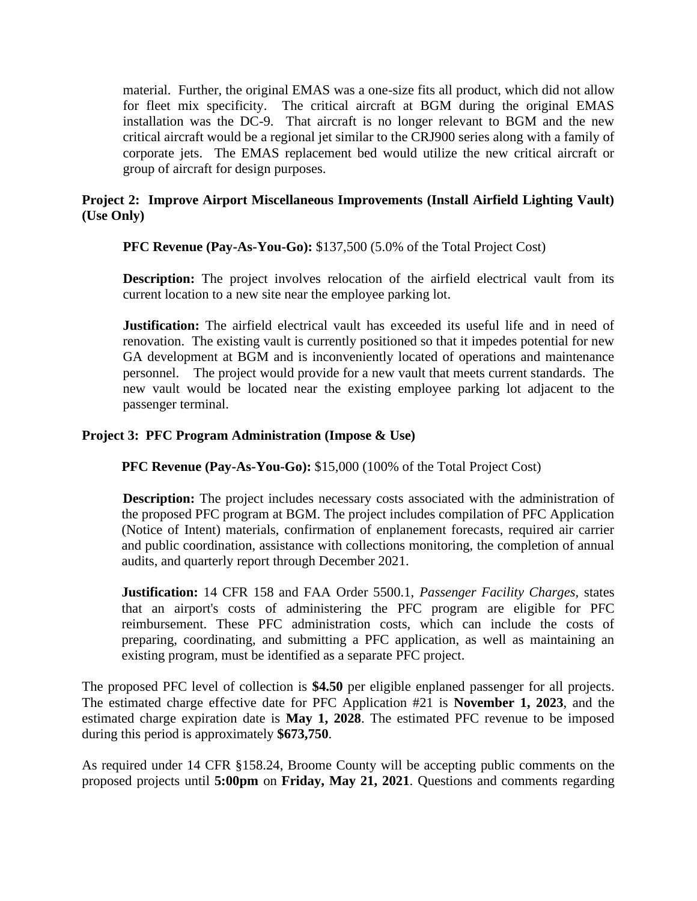material. Further, the original EMAS was a one-size fits all product, which did not allow for fleet mix specificity. The critical aircraft at BGM during the original EMAS installation was the DC-9. That aircraft is no longer relevant to BGM and the new critical aircraft would be a regional jet similar to the CRJ900 series along with a family of corporate jets. The EMAS replacement bed would utilize the new critical aircraft or group of aircraft for design purposes.

### **Project 2: Improve Airport Miscellaneous Improvements (Install Airfield Lighting Vault) (Use Only)**

**PFC Revenue (Pay-As-You-Go):** \$137,500 (5.0% of the Total Project Cost)

**Description:** The project involves relocation of the airfield electrical vault from its current location to a new site near the employee parking lot.

**Justification:** The airfield electrical vault has exceeded its useful life and in need of renovation. The existing vault is currently positioned so that it impedes potential for new GA development at BGM and is inconveniently located of operations and maintenance personnel. The project would provide for a new vault that meets current standards. The new vault would be located near the existing employee parking lot adjacent to the passenger terminal.

### **Project 3: PFC Program Administration (Impose & Use)**

**PFC Revenue (Pay-As-You-Go):** \$15,000 (100% of the Total Project Cost)

**Description:** The project includes necessary costs associated with the administration of the proposed PFC program at BGM. The project includes compilation of PFC Application (Notice of Intent) materials, confirmation of enplanement forecasts, required air carrier and public coordination, assistance with collections monitoring, the completion of annual audits, and quarterly report through December 2021.

**Justification:** 14 CFR 158 and FAA Order 5500.1, *Passenger Facility Charges,* states that an airport's costs of administering the PFC program are eligible for PFC reimbursement. These PFC administration costs, which can include the costs of preparing, coordinating, and submitting a PFC application, as well as maintaining an existing program, must be identified as a separate PFC project.

The proposed PFC level of collection is **\$4.50** per eligible enplaned passenger for all projects. The estimated charge effective date for PFC Application #21 is **November 1, 2023**, and the estimated charge expiration date is **May 1, 2028**. The estimated PFC revenue to be imposed during this period is approximately **\$673,750**.

As required under 14 CFR §158.24, Broome County will be accepting public comments on the proposed projects until **5:00pm** on **Friday, May 21, 2021**. Questions and comments regarding